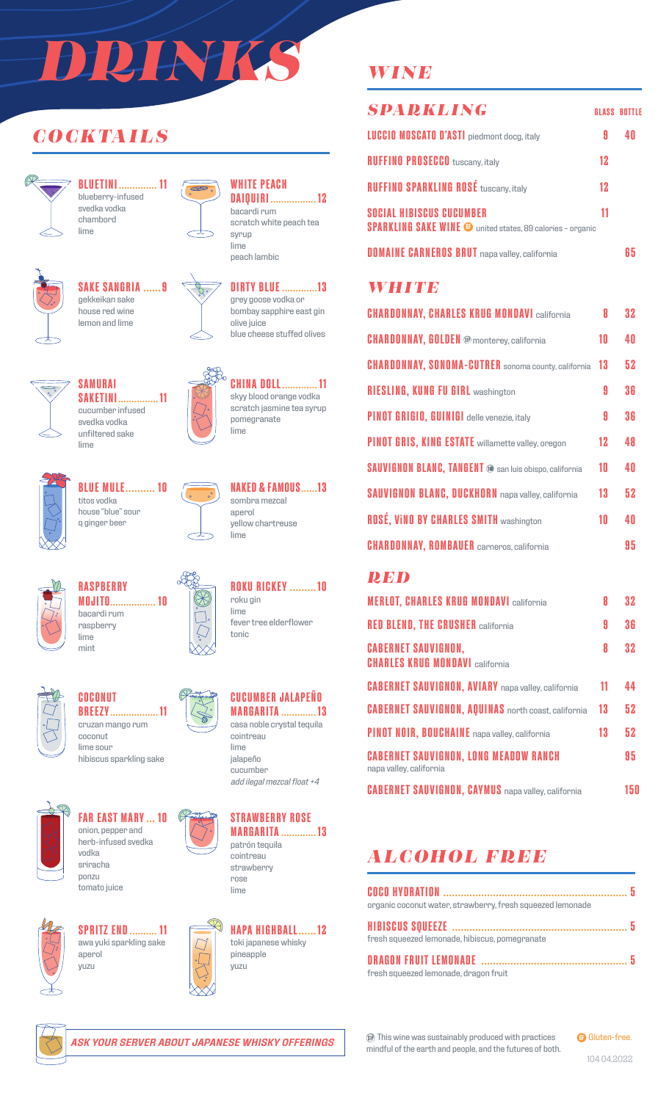# *DRINKS*

# *COCKTAILS*



**BLUETINI .............. 11** blueberry-infused svedka vodka chambord lime



# **SAKE SANGRIA ......9** gekkeikan sake



house red wine lemon and lime

**SAKETINI............... 11** cucumber infused svedka vodka unfiltered sake



 $\infty$ 

**DIRTY BLUE .............13** grey goose vodka or bombay sapphire east gin olive juice blue cheese stuffed olives

**WHITE PEACH**

bacardi rum

syrup lime peach lambic

**DAIQUIRI ................. 12**

scratch white peach tea



**CHINA DOLL............. 11** skyy blood orange vodka scratch jasmine tea syrup pomegranate lime



**BLUE MULE.......... 10** titos vodka house "blue" sour q ginger beer

**SAMURAI**

lime



**NAKED & FAMOUS......13** sombra mezcal aperol yellow chartreuse lime

**ROKU RICKEY .........10**

fever tree elderflower

roku gin lime

tonic



**RASPBERRY MOJITO................. 10** bacardi rum raspberry lime mint



#### **COCONUT BREEZY.................. 11** cruzan mango rum coconut lime sour

hibiscus sparkling sake



**FAR EAST MARY ... 10** onion, pepper and herb-infused svedka vodka sriracha ponzu tomato juice





**SPRITZ END.......... 11** awa yuki sparkling sake aperol yuzu





lime jalapeño cucumber *add ilegal mezcal float +4*



lime

**STRAWBERRY ROSE MARGARITA ............. 13** cointreau strawberry rose



# *WINE*

| <b>SPARKLING</b>                                                                                     |    | <b>GLASS BOTTLE</b> |
|------------------------------------------------------------------------------------------------------|----|---------------------|
| <b>LUCCIO MOSCATO D'ASTI</b> piedmont docg, italy                                                    | 9  |                     |
| <b>RUFFINO PROSECCO</b> tuscany, italy                                                               | 12 |                     |
| <b>RUFFINO SPARKLING ROSÉ tuscany, italy</b>                                                         | 12 |                     |
| <b>SOCIAL HIBISCUS CUCUMBER</b><br><b>SPARKLING SAKE WINE @</b> united states, 89 calories - organic | 11 |                     |
| <b>DOMAINE CARNEROS BRUT</b> napa valley, california                                                 |    |                     |

## *WHITE*

| <b>CHARDONNAY, CHARLES KRUG MONDAVI california</b>            | Я  | 32  |
|---------------------------------------------------------------|----|-----|
| <b>CHARDONNAY, GOLDEN ®</b> monterey, california              | 10 | 4 N |
| <b>CHARDONNAY, SONOMA-CUTRER</b> sonoma county, california    | 13 | 52  |
| <b>RIESLING, KUNG FU GIRL washington</b>                      | A  | 36  |
| PINOT GRIGIO, GUINIGI delle venezie, italy                    | 9  | 36  |
| <b>PINOT GRIS, KING ESTATE</b> willamette valley, oregon      | 12 | 48  |
| <b>SAUVIGNON BLANC, TANGENT ®</b> san luis obispo, california | 10 | 40  |
| <b>SAUVIGNON BLANC, DUCKHORN</b> napa valley, california      | 13 | 52  |
| <b>ROSÉ, VINO BY CHARLES SMITH washington</b>                 | 10 | 4 N |
| <b>CHARDONNAY, ROMBAUER</b> carneros, california              |    | 95  |

## *RED*

| <b>MERLOT, CHARLES KRUG MONDAVI california</b>                          | 8  | 32  |
|-------------------------------------------------------------------------|----|-----|
| <b>RED BLEND, THE CRUSHER california</b>                                | 9  | 36  |
| <b>CABERNET SAUVIGNON,</b><br><b>CHARLES KRUG MONDAVI california</b>    | 8  | 32  |
| <b>CABERNET SAUVIGNON, AVIARY</b> napa valley, california               | 11 | 44  |
| <b>CABERNET SAUVIGNON, AQUINAS</b> north coast, california              | 13 | 52  |
| PINOT NOIR, BOUCHAINE napa valley, california                           | 13 | 52  |
| <b>CABERNET SAUVIGNON, LONG MEADOW RANCH</b><br>napa valley, california |    | 95  |
| <b>CABERNET SAUVIGNON, CAYMUS</b> napa valley, california               |    | 150 |

# *ALCOHOL FREE*

| organic coconut water, strawberry, fresh squeezed lemonade |  |
|------------------------------------------------------------|--|
|                                                            |  |
| fresh squeezed lemonade, hibiscus, pomegranate             |  |
|                                                            |  |
| fresh squeezed lemonade, dragon fruit                      |  |

This wine was sustainably produced with practices mindful of the earth and people, and the futures of both. **G** Gluten-free.